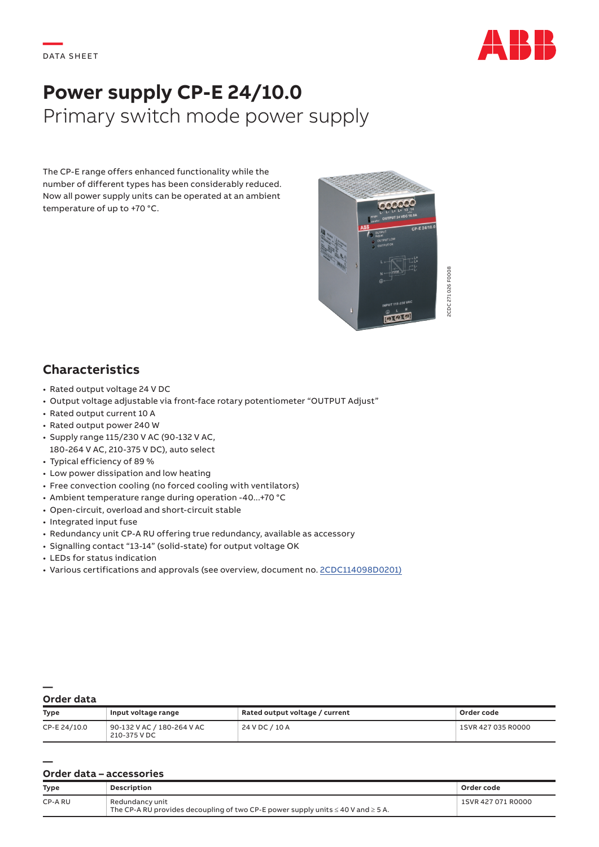

# **Power supply CP-E 24/10.0** Primary switch mode power supply

The CP-E range offers enhanced functionality while the number of different types has been considerably reduced. Now all power supply units can be operated at an ambient temperature of up to +70 °C.



## **Characteristics**

- Rated output voltage 24 V DC
- Output voltage adjustable via front-face rotary potentiometer "OUTPUT Adjust"
- Rated output current 10 A
- Rated output power 240 W
- Supply range 115/230 V AC (90-132 V AC, 180-264 V AC, 210-375 V DC), auto select
- Typical efficiency of 89 %
- Low power dissipation and low heating
- Free convection cooling (no forced cooling with ventilators)
- Ambient temperature range during operation -40...+70 °C
- Open-circuit, overload and short-circuit stable
- Integrated input fuse
- Redundancy unit CP-A RU offering true redundancy, available as accessory
- Signalling contact "13-14" (solid-state) for output voltage OK
- LEDs for status indication
- Various certifications and approvals (see overview, document no. [2CDC114098D0201\)](https://library.e.abb.com/public/41e85c1a589c4f4db210dc7e84e0c1aa/2CDC114098D0201.pdf)

#### **— Order data**

**—**

| <b>Type</b>  | Input voltage range                        | Rated output voltage / current | Order code         |
|--------------|--------------------------------------------|--------------------------------|--------------------|
| CP-E 24/10.0 | 90-132 V AC / 180-264 V AC<br>210-375 V DC | 24 V DC / 10 A                 | 1SVR 427 035 R0000 |

#### **Order data – accessories**

| <b>Type</b> | Description                                                                                                   | Order code         |
|-------------|---------------------------------------------------------------------------------------------------------------|--------------------|
| CP-A RU     | Redundancy unit<br>The CP-A RU provides decoupling of two CP-E power supply units $\leq 40$ V and $\geq 5$ A. | 1SVR 427 071 R0000 |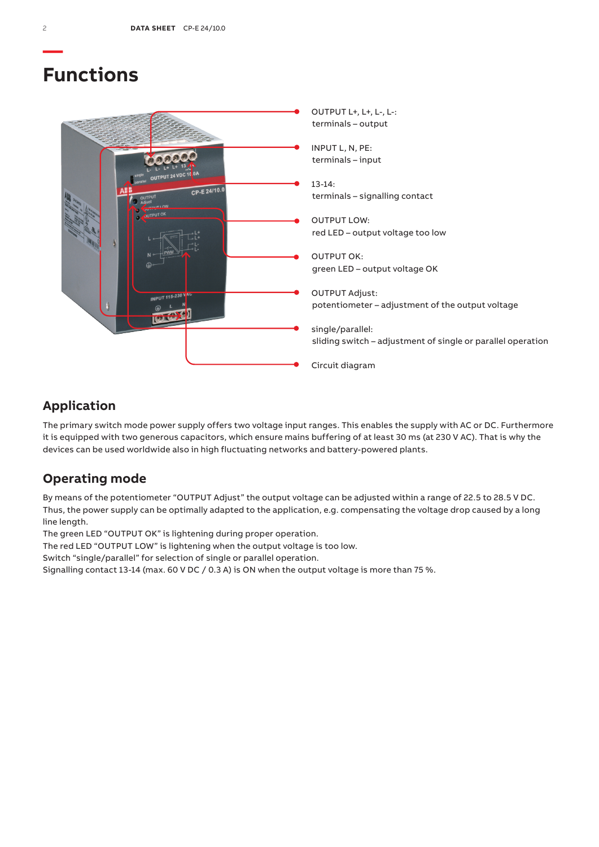## **Functions**



## **Application**

The primary switch mode power supply offers two voltage input ranges. This enables the supply with AC or DC. Furthermore it is equipped with two generous capacitors, which ensure mains buffering of at least 30 ms (at 230 V AC). That is why the devices can be used worldwide also in high fluctuating networks and battery-powered plants.

## **Operating mode**

By means of the potentiometer "OUTPUT Adjust" the output voltage can be adjusted within a range of 22.5 to 28.5 V DC. Thus, the power supply can be optimally adapted to the application, e.g. compensating the voltage drop caused by a long line length.

The green LED "OUTPUT OK" is lightening during proper operation.

The red LED "OUTPUT LOW" is lightening when the output voltage is too low.

Switch "single/parallel" for selection of single or parallel operation.

Signalling contact 13-14 (max. 60 V DC / 0.3 A) is ON when the output voltage is more than 75 %.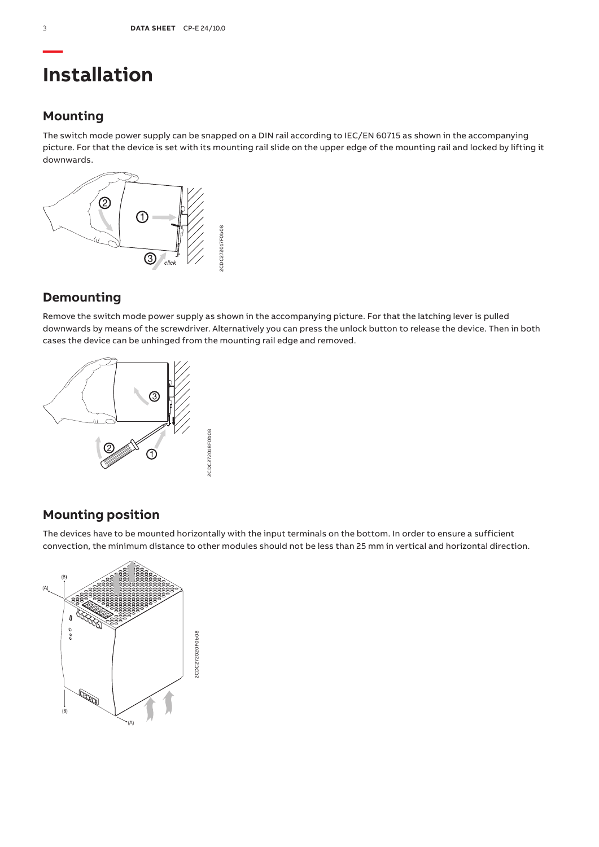# **Installation**

## **Mounting**

The switch mode power supply can be snapped on a DIN rail according to IEC/EN 60715 as shown in the accompanying picture. For that the device is set with its mounting rail slide on the upper edge of the mounting rail and locked by lifting it downwards.



## **Demounting**

Remove the switch mode power supply as shown in the accompanying picture. For that the latching lever is pulled downwards by means of the screwdriver. Alternatively you can press the unlock button to release the device. Then in both cases the device can be unhinged from the mounting rail edge and removed.



## **Mounting position**

The devices have to be mounted horizontally with the input terminals on the bottom. In order to ensure a sufficient convection, the minimum distance to other modules should not be less than 25 mm in vertical and horizontal direction.

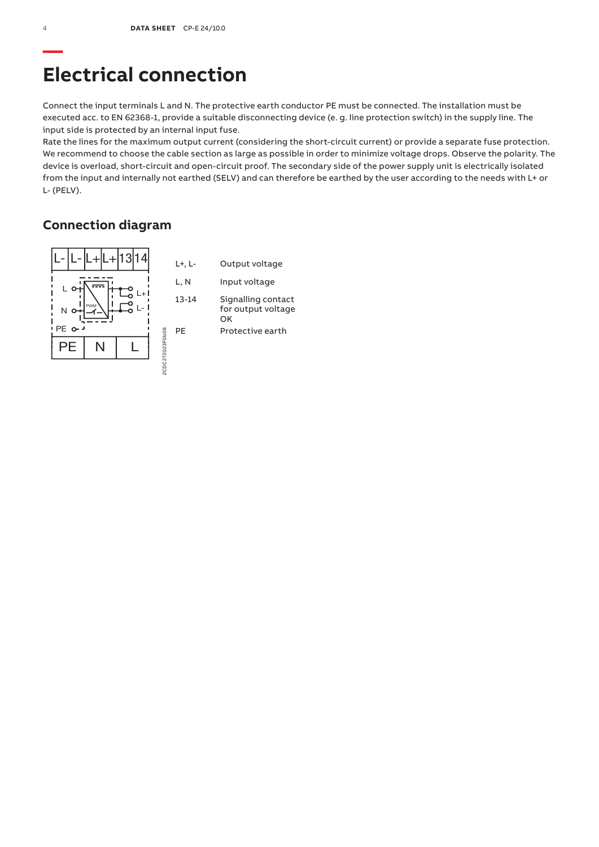# **Electrical connection**

Connect the input terminals L and N. The protective earth conductor PE must be connected. The installation must be executed acc. to EN 62368-1, provide a suitable disconnecting device (e. g. line protection switch) in the supply line. The input side is protected by an internal input fuse.

Rate the lines for the maximum output current (considering the short-circuit current) or provide a separate fuse protection. We recommend to choose the cable section as large as possible in order to minimize voltage drops. Observe the polarity. The device is overload, short-circuit and open-circuit proof. The secondary side of the power supply unit is electrically isolated from the input and internally not earthed (SELV) and can therefore be earthed by the user according to the needs with L+ or L- (PELV).

## **Connection diagram**

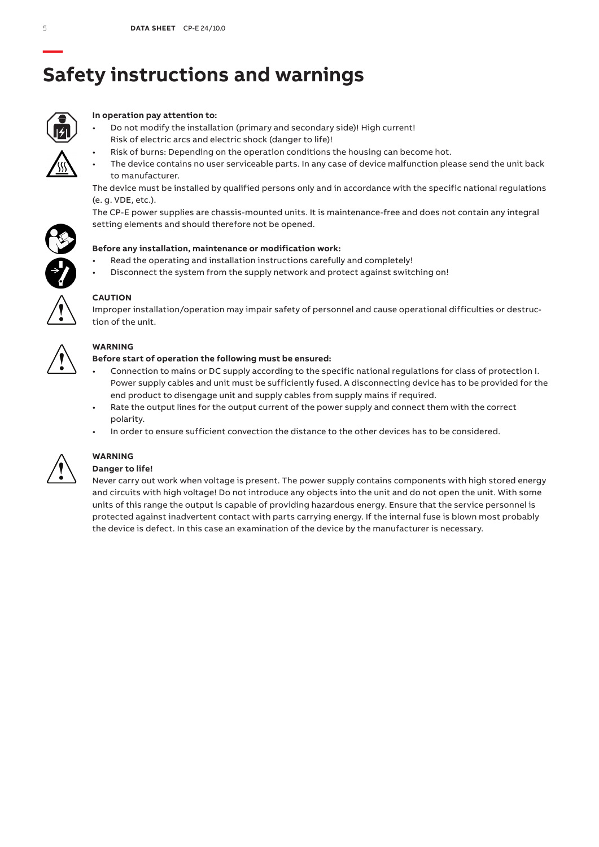# **— Safety instructions and warnings**



### **In operation pay attention to:**

- Do not modify the installation (primary and secondary side)! High current! Risk of electric arcs and electric shock (danger to life)!
	- Risk of burns: Depending on the operation conditions the housing can become hot.
- The device contains no user serviceable parts. In any case of device malfunction please send the unit back to manufacturer.

The device must be installed by qualified persons only and in accordance with the specific national regulations (e. g. VDE, etc.).

The CP-E power supplies are chassis-mounted units. It is maintenance-free and does not contain any integral setting elements and should therefore not be opened.



- Read the operating and installation instructions carefully and completely!
- Disconnect the system from the supply network and protect against switching on!



### **CAUTION**

Improper installation/operation may impair safety of personnel and cause operational difficulties or destruction of the unit.



### **WARNING**

### **Before start of operation the following must be ensured:**

- Connection to mains or DC supply according to the specific national regulations for class of protection I. Power supply cables and unit must be sufficiently fused. A disconnecting device has to be provided for the end product to disengage unit and supply cables from supply mains if required.
- Rate the output lines for the output current of the power supply and connect them with the correct polarity.
- In order to ensure sufficient convection the distance to the other devices has to be considered.



#### **WARNING Danger to life!**

### Never carry out work when voltage is present. The power supply contains components with high stored energy and circuits with high voltage! Do not introduce any objects into the unit and do not open the unit. With some units of this range the output is capable of providing hazardous energy. Ensure that the service personnel is protected against inadvertent contact with parts carrying energy. If the internal fuse is blown most probably the device is defect. In this case an examination of the device by the manufacturer is necessary.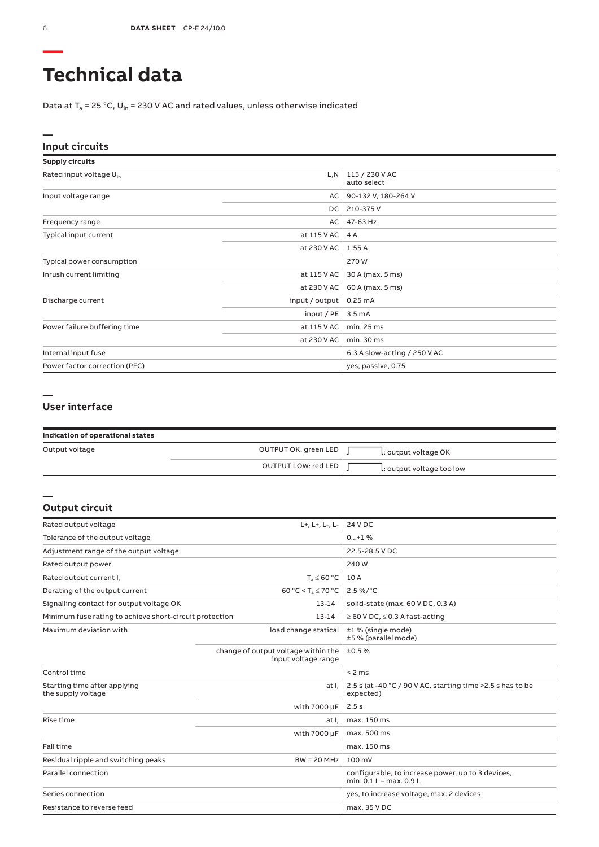# **Technical data**

Data at  $T_a$  = 25 °C, U<sub>in</sub> = 230 V AC and rated values, unless otherwise indicated

### **Input circuits**

| <b>Supply circuits</b>              |                |                               |
|-------------------------------------|----------------|-------------------------------|
| Rated input voltage U <sub>in</sub> | L, N           | 115 / 230 V AC<br>auto select |
| Input voltage range                 | AC             | 90-132 V, 180-264 V           |
|                                     | DC.            | 210-375V                      |
| Frequency range                     | AC             | 47-63 Hz                      |
| Typical input current               | at 115 V AC    | 4 A                           |
|                                     | at 230 V AC    | 1.55A                         |
| Typical power consumption           |                | 270 W                         |
| Inrush current limiting             | at 115 V AC    | 30 A (max. 5 ms)              |
|                                     | at 230 V AC    | 60 A (max. 5 ms)              |
| Discharge current                   | input / output | 0.25mA                        |
|                                     | input / PE     | 3.5 <sub>m</sub> A            |
| Power failure buffering time        | at 115 V AC    | min.25 ms                     |
|                                     | at 230 V AC    | min.30 ms                     |
| Internal input fuse                 |                | 6.3 A slow-acting / 250 V AC  |
| Power factor correction (PFC)       |                | yes, passive, 0.75            |

#### **— User interface**

| Indication of operational states |                      |                           |
|----------------------------------|----------------------|---------------------------|
| Output voltage                   | OUTPUT OK: green LED | L: output voltage OK      |
|                                  | OUTPUT LOW: red LED  | L: output voltage too low |

#### **Output circuit**

**—**

| Rated output voltage                                    | L+, L+, L-, L-                                             | 24 V DC                                                                            |
|---------------------------------------------------------|------------------------------------------------------------|------------------------------------------------------------------------------------|
| Tolerance of the output voltage                         |                                                            | $0+1$ %                                                                            |
| Adjustment range of the output voltage                  |                                                            | 22.5-28.5 V DC                                                                     |
| Rated output power                                      |                                                            | 240 W                                                                              |
| Rated output current I,                                 | $T_a \leq 60 °C$                                           | 10 A                                                                               |
| Derating of the output current                          | 60 °C < $T_a \le 70$ °C                                    | $2.5\%$ /°C                                                                        |
| Signalling contact for output voltage OK                | $13 - 14$                                                  | solid-state (max. 60 V DC, 0.3 A)                                                  |
| Minimum fuse rating to achieve short-circuit protection | 13-14                                                      | $\geq$ 60 V DC, $\leq$ 0.3 A fast-acting                                           |
| Maximum deviation with                                  | load change statical                                       | ±1 % (single mode)<br>±5 % (parallel mode)                                         |
|                                                         | change of output voltage within the<br>input voltage range | ±0.5%                                                                              |
| Control time                                            |                                                            | < 2 ms                                                                             |
| Starting time after applying<br>the supply voltage      | at I.                                                      | 2.5 s (at -40 °C / 90 V AC, starting time >2.5 s has to be<br>expected)            |
|                                                         | with 7000 µF                                               | 2.5s                                                                               |
| Rise time                                               | at I.                                                      | max. 150 ms                                                                        |
|                                                         | with 7000 µF                                               | max. 500 ms                                                                        |
| Fall time                                               |                                                            | max. 150 ms                                                                        |
| Residual ripple and switching peaks                     | $BW = 20 MHz$                                              | $100 \text{ mV}$                                                                   |
| Parallel connection                                     |                                                            | configurable, to increase power, up to 3 devices,<br>min. $0.1 I_r - max. 0.9 I_r$ |
| Series connection                                       |                                                            | yes, to increase voltage, max. 2 devices                                           |
| Resistance to reverse feed                              |                                                            | max. 35 V DC                                                                       |

**—**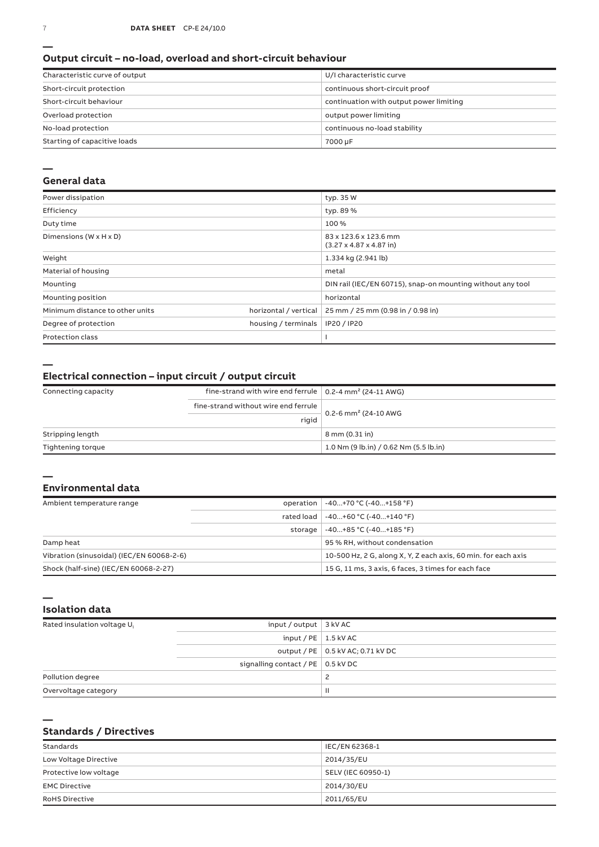#### **Output circuit – no-load, overload and short-circuit behaviour**

| Characteristic curve of output | U/I characteristic curve                |
|--------------------------------|-----------------------------------------|
| Short-circuit protection       | continuous short-circuit proof          |
| Short-circuit behaviour        | continuation with output power limiting |
| Overload protection            | output power limiting                   |
| No-load protection             | continuous no-load stability            |
| Starting of capacitive loads   | 7000 µF                                 |

#### **—**

#### **General data**

| Power dissipation                    |                       | typ. 35 W                                                            |
|--------------------------------------|-----------------------|----------------------------------------------------------------------|
| Efficiency                           |                       | typ. 89 %                                                            |
| Duty time                            |                       | 100%                                                                 |
| Dimensions ( $W \times H \times D$ ) |                       | 83 x 123.6 x 123.6 mm<br>$(3.27 \times 4.87 \times 4.87 \text{ in})$ |
| Weight                               |                       | 1.334 kg (2.941 lb)                                                  |
| Material of housing                  |                       | metal                                                                |
| Mounting                             |                       | DIN rail (IEC/EN 60715), snap-on mounting without any tool           |
| Mounting position                    |                       | horizontal                                                           |
| Minimum distance to other units      | horizontal / vertical | 25 mm / 25 mm (0.98 in / 0.98 in)                                    |
| Degree of protection                 | housing / terminals   | IP20 / IP20                                                          |
| <b>Protection class</b>              |                       |                                                                      |

**—**

### **Electrical connection – input circuit / output circuit**

| Connecting capacity | fine-strand with wire end ferrule $\vert$ 0.2-4 mm <sup>2</sup> (24-11 AWG) |                                        |
|---------------------|-----------------------------------------------------------------------------|----------------------------------------|
|                     | fine-strand without wire end ferrule                                        |                                        |
|                     | rigid                                                                       | 0.2-6 mm <sup>2</sup> (24-10 AWG       |
| Stripping length    |                                                                             | 8 mm (0.31 in)                         |
| Tightening torque   |                                                                             | 1.0 Nm (9 lb.in) / 0.62 Nm (5.5 lb.in) |

#### **— Environmental data**

| Ambient temperature range                 |            | operation   -40+70 °C (-40+158 °F)                             |
|-------------------------------------------|------------|----------------------------------------------------------------|
|                                           | rated load | $-40+60 °C (-40+140 °F)$                                       |
|                                           | storage    | $-40+85 °C (-40+185 °F)$                                       |
| Damp heat                                 |            | 95 % RH, without condensation                                  |
| Vibration (sinusoidal) (IEC/EN 60068-2-6) |            | 10-500 Hz, 2 G, along X, Y, Z each axis, 60 min, for each axis |
| Shock (half-sine) (IEC/EN 60068-2-27)     |            | 15 G, 11 ms, 3 axis, 6 faces, 3 times for each face            |

**Isolation data**

| Rated insulation voltage U <sub>i</sub> | input / output $\vert$ 3 kV AC            |                                     |
|-----------------------------------------|-------------------------------------------|-------------------------------------|
|                                         | input / $PE$   1.5 kV AC                  |                                     |
|                                         |                                           | output / PE   0.5 kV AC; 0.71 kV DC |
|                                         | signalling contact / PE $\vert$ 0.5 kV DC |                                     |
| Pollution degree                        |                                           |                                     |
| Overvoltage category                    |                                           | $\mathbf{H}$                        |

**—**

**—**

### **Standards / Directives**

| Standards              | IEC/EN 62368-1     |
|------------------------|--------------------|
| Low Voltage Directive  | 2014/35/EU         |
| Protective low voltage | SELV (IEC 60950-1) |
| <b>EMC Directive</b>   | 2014/30/EU         |
| <b>RoHS Directive</b>  | 2011/65/EU         |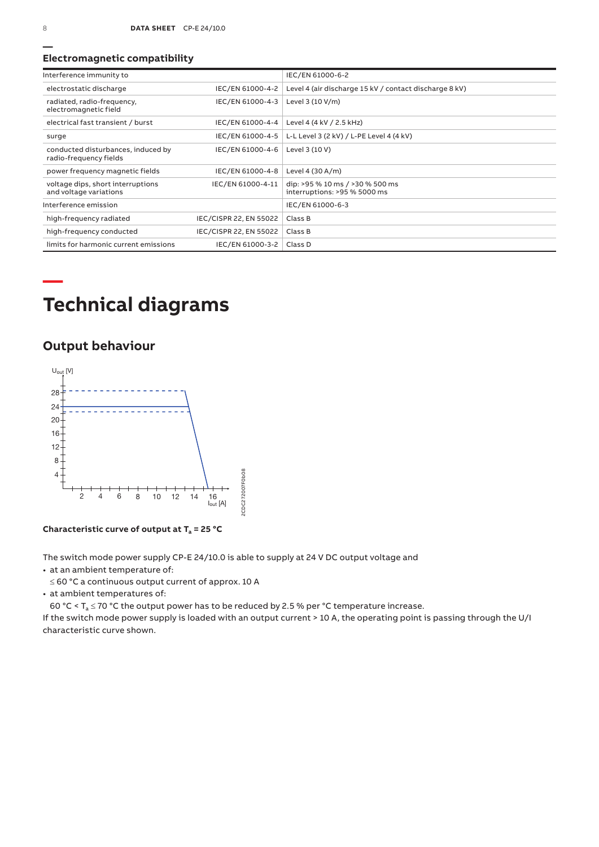### **Electromagnetic compatibility**

| Interference immunity to                                     |                        | IEC/EN 61000-6-2                                                |
|--------------------------------------------------------------|------------------------|-----------------------------------------------------------------|
| electrostatic discharge                                      | IEC/EN 61000-4-2       | Level 4 (air discharge 15 kV / contact discharge 8 kV)          |
| radiated, radio-frequency,<br>electromagnetic field          | IEC/EN 61000-4-3       | Level 3 (10 V/m)                                                |
| electrical fast transient / burst                            | IEC/EN 61000-4-4       | Level 4 (4 kV / 2.5 kHz)                                        |
| surge                                                        | IEC/EN 61000-4-5       | L-L Level 3 (2 kV) / L-PE Level 4 (4 kV)                        |
| conducted disturbances, induced by<br>radio-frequency fields | IEC/EN 61000-4-6       | Level 3 (10 V)                                                  |
| power frequency magnetic fields                              | IEC/EN 61000-4-8       | Level 4 (30 A/m)                                                |
| voltage dips, short interruptions<br>and voltage variations  | IEC/EN 61000-4-11      | dip: >95 % 10 ms / >30 % 500 ms<br>interruptions: >95 % 5000 ms |
| Interference emission                                        |                        | IEC/EN 61000-6-3                                                |
| high-frequency radiated                                      | IEC/CISPR 22, EN 55022 | Class B                                                         |
| high-frequency conducted                                     | IEC/CISPR 22, EN 55022 | Class B                                                         |
| limits for harmonic current emissions                        | IEC/EN 61000-3-2       | Class D                                                         |

# **Technical diagrams**

## **Output behaviour**



**Characteristic curve of output at Ta = 25 °C**

The switch mode power supply CP-E 24/10.0 is able to supply at 24 V DC output voltage and

• at an ambient temperature of:

≤ 60 °C a continuous output current of approx. 10 A

• at ambient temperatures of:

60 °C <  $T_a \le 70$  °C the output power has to be reduced by 2.5 % per °C temperature increase.

If the switch mode power supply is loaded with an output current > 10 A, the operating point is passing through the U/I characteristic curve shown.

**—**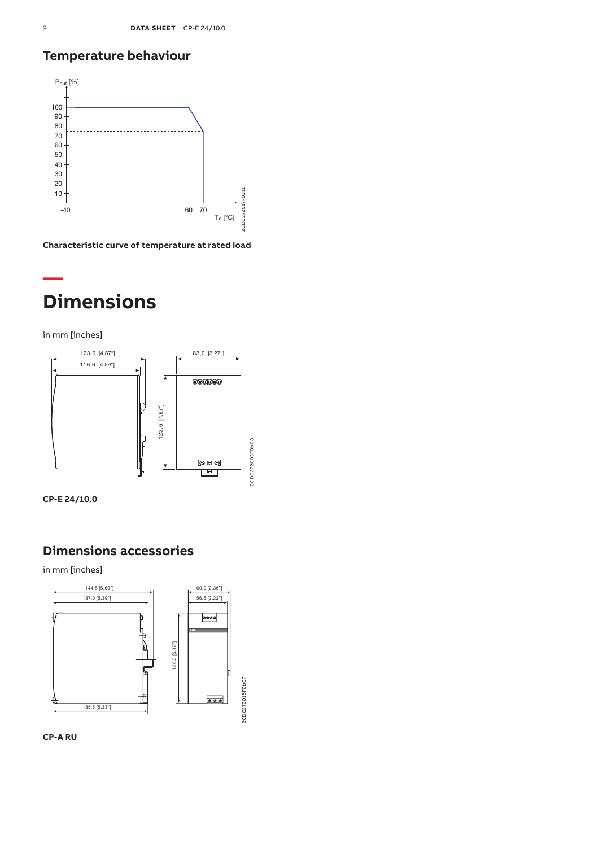## **Temperature behaviour**



**Characteristic curve of temperature at rated load**

# **Dimensions**

in mm [inches]

**—**





## **Dimensions accessories**

in mm [inches]



**CP-A RU**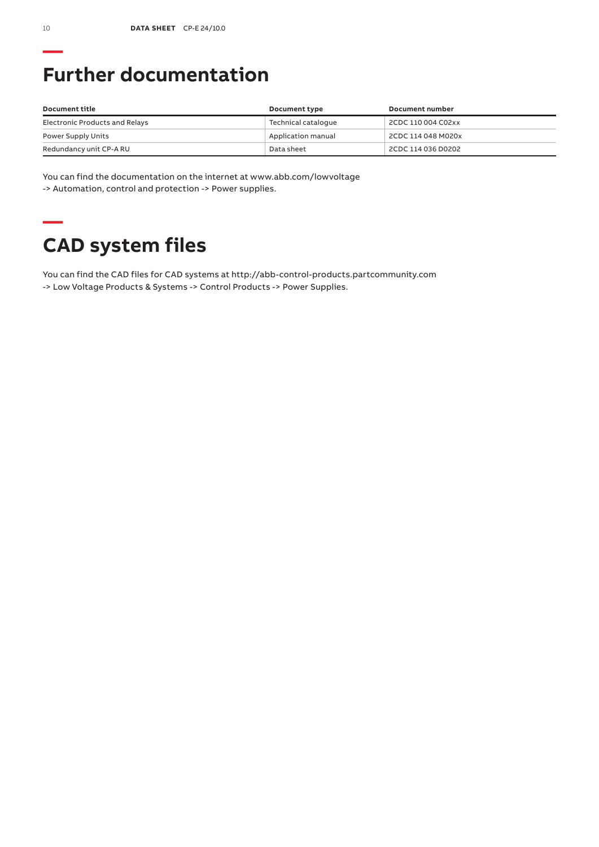# **Further documentation**

| Document title                 | Document type       | Document number    |
|--------------------------------|---------------------|--------------------|
| Electronic Products and Relays | Technical cataloque | 2CDC 110 004 C02xx |
| Power Supply Units             | Application manual  | 2CDC 114 048 M020x |
| Redundancy unit CP-A RU        | Data sheet          | 2CDC 114 036 D0202 |

You can find the documentation on the internet at www.abb.com/lowvoltage -> Automation, control and protection -> Power supplies.

# **— CAD system files**

You can find the CAD files for CAD systems at http://abb-control-products.partcommunity.com -> Low Voltage Products & Systems -> Control Products -> Power Supplies.